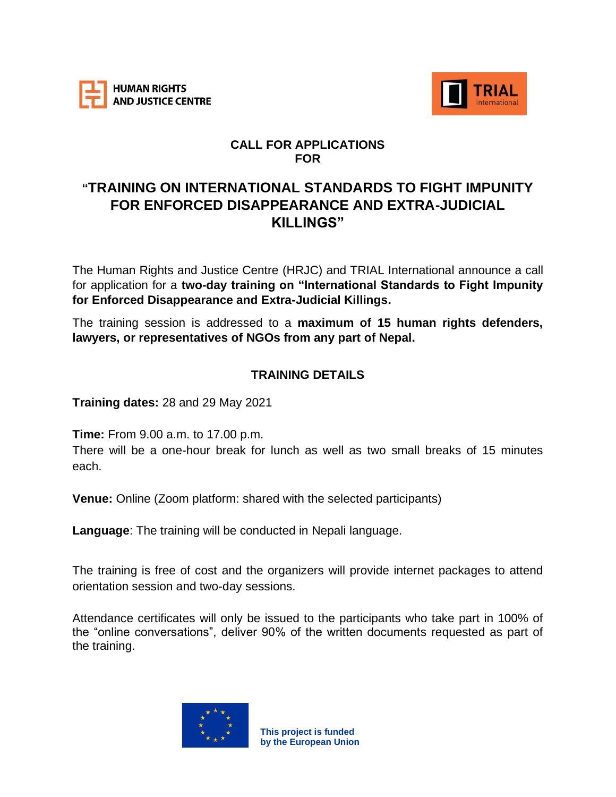



## **CALL FOR APPLICATIONS FOR**

# **"TRAINING ON INTERNATIONAL STANDARDS TO FIGHT IMPUNITY FOR ENFORCED DISAPPEARANCE AND EXTRA-JUDICIAL KILLINGS"**

The Human Rights and Justice Centre (HRJC) and TRIAL International announce a call for application for a **two-day training on "International Standards to Fight Impunity for Enforced Disappearance and Extra-Judicial Killings.**

The training session is addressed to a **maximum of 15 human rights defenders, lawyers, or representatives of NGOs from any part of Nepal.**

## **TRAINING DETAILS**

**Training dates:** 28 and 29 May 2021

**Time:** From 9.00 a.m. to 17.00 p.m.

There will be a one-hour break for lunch as well as two small breaks of 15 minutes each.

**Venue:** Online (Zoom platform: shared with the selected participants)

**Language**: The training will be conducted in Nepali language.

The training is free of cost and the organizers will provide internet packages to attend orientation session and two-day sessions.

Attendance certificates will only be issued to the participants who take part in 100% of the "online conversations", deliver 90% of the written documents requested as part of the training.

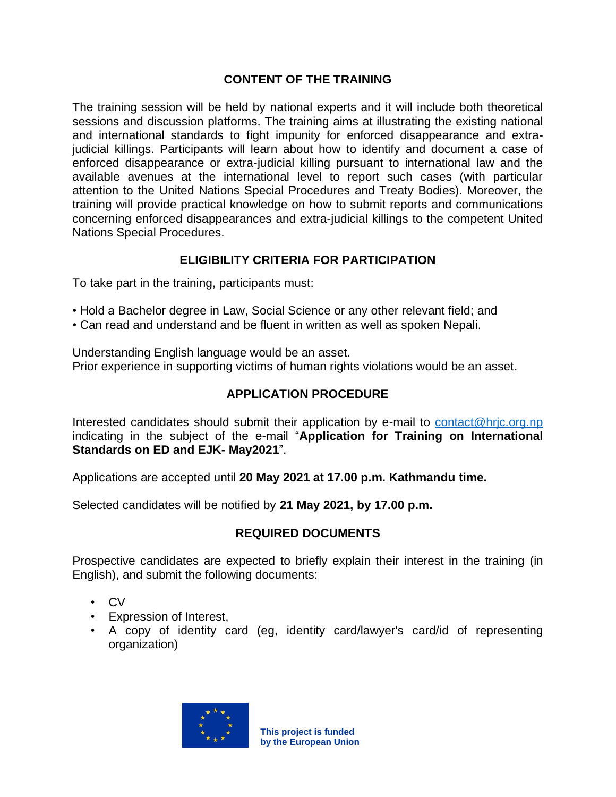#### **CONTENT OF THE TRAINING**

The training session will be held by national experts and it will include both theoretical sessions and discussion platforms. The training aims at illustrating the existing national and international standards to fight impunity for enforced disappearance and extrajudicial killings. Participants will learn about how to identify and document a case of enforced disappearance or extra-judicial killing pursuant to international law and the available avenues at the international level to report such cases (with particular attention to the United Nations Special Procedures and Treaty Bodies). Moreover, the training will provide practical knowledge on how to submit reports and communications concerning enforced disappearances and extra-judicial killings to the competent United Nations Special Procedures.

#### **ELIGIBILITY CRITERIA FOR PARTICIPATION**

To take part in the training, participants must:

- Hold a Bachelor degree in Law, Social Science or any other relevant field; and
- Can read and understand and be fluent in written as well as spoken Nepali.

Understanding English language would be an asset. Prior experience in supporting victims of human rights violations would be an asset.

## **APPLICATION PROCEDURE**

Interested candidates should submit their application by e-mail to [contact@hrjc.org.np](mailto:contact@hrjc.org.np) indicating in the subject of the e-mail "**Application for Training on International Standards on ED and EJK- May2021**".

Applications are accepted until **20 May 2021 at 17.00 p.m. Kathmandu time.**

Selected candidates will be notified by **21 May 2021, by 17.00 p.m.**

#### **REQUIRED DOCUMENTS**

Prospective candidates are expected to briefly explain their interest in the training (in English), and submit the following documents:

- CV
- Expression of Interest,
- A copy of identity card (eg, identity card/lawyer's card/id of representing organization)